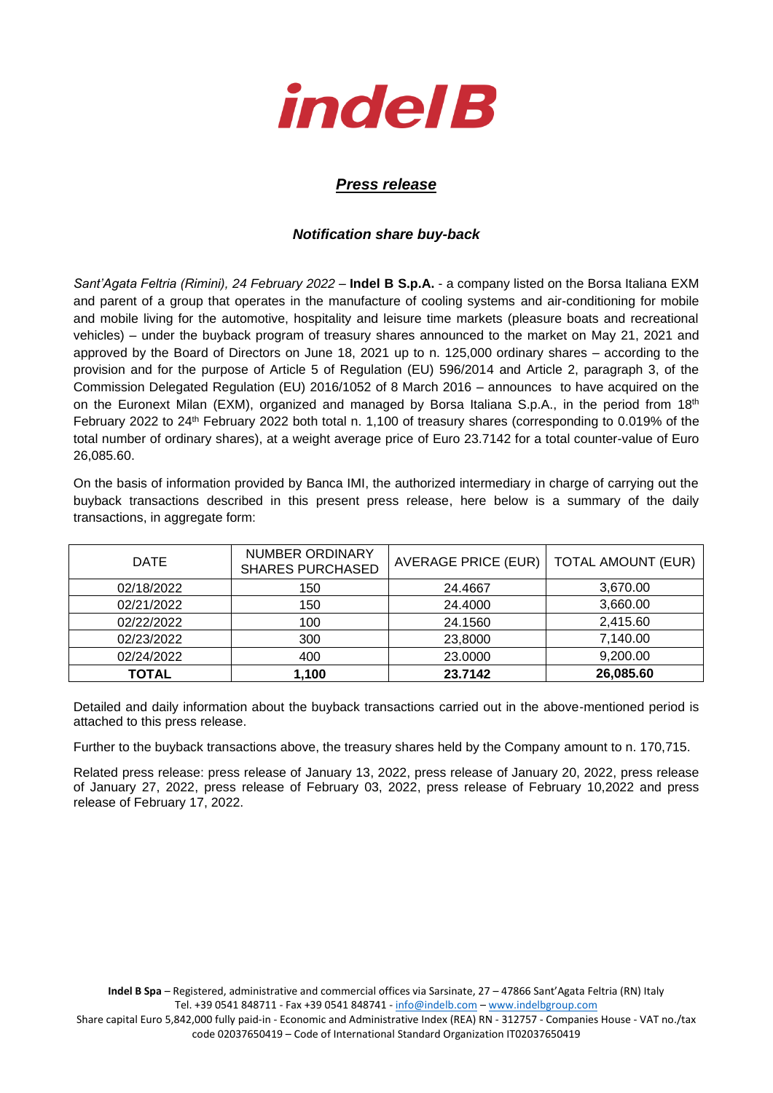

## *Press release*

## *Notification share buy-back*

*Sant'Agata Feltria (Rimini), 24 February 2022* – **Indel B S.p.A.** - a company listed on the Borsa Italiana EXM and parent of a group that operates in the manufacture of cooling systems and air-conditioning for mobile and mobile living for the automotive, hospitality and leisure time markets (pleasure boats and recreational vehicles) – under the buyback program of treasury shares announced to the market on May 21, 2021 and approved by the Board of Directors on June 18, 2021 up to n. 125,000 ordinary shares – according to the provision and for the purpose of Article 5 of Regulation (EU) 596/2014 and Article 2, paragraph 3, of the Commission Delegated Regulation (EU) 2016/1052 of 8 March 2016 – announces to have acquired on the on the Euronext Milan (EXM), organized and managed by Borsa Italiana S.p.A., in the period from 18<sup>th</sup> February 2022 to 24th February 2022 both total n. 1,100 of treasury shares (corresponding to 0.019% of the total number of ordinary shares), at a weight average price of Euro 23.7142 for a total counter-value of Euro 26,085.60.

On the basis of information provided by Banca IMI, the authorized intermediary in charge of carrying out the buyback transactions described in this present press release, here below is a summary of the daily transactions, in aggregate form:

| <b>DATE</b>  | <b>NUMBER ORDINARY</b><br><b>SHARES PURCHASED</b> | AVERAGE PRICE (EUR) | <b>TOTAL AMOUNT (EUR)</b> |
|--------------|---------------------------------------------------|---------------------|---------------------------|
| 02/18/2022   | 150                                               | 24.4667             | 3,670.00                  |
| 02/21/2022   | 150                                               | 24.4000             | 3,660.00                  |
| 02/22/2022   | 100                                               | 24.1560             | 2,415.60                  |
| 02/23/2022   | 300                                               | 23,8000             | 7,140.00                  |
| 02/24/2022   | 400                                               | 23.0000             | 9,200.00                  |
| <b>TOTAL</b> | 1,100                                             | 23.7142             | 26,085.60                 |

Detailed and daily information about the buyback transactions carried out in the above-mentioned period is attached to this press release.

Further to the buyback transactions above, the treasury shares held by the Company amount to n. 170,715.

Related press release: press release of January 13, 2022, press release of January 20, 2022, press release of January 27, 2022, press release of February 03, 2022, press release of February 10,2022 and press release of February 17, 2022.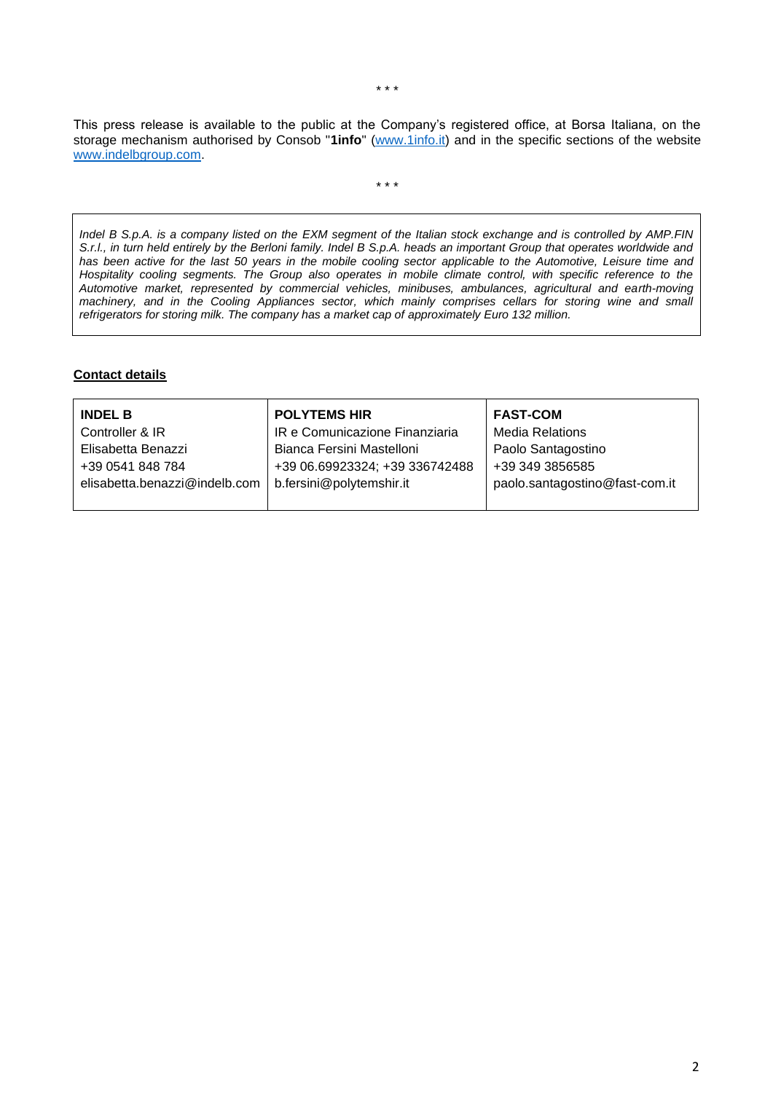This press release is available to the public at the Company's registered office, at Borsa Italiana, on the storage mechanism authorised by Consob "**1info**" [\(www.1info.it\)](file:///C:/Users/ddelietovollaro/AppData/Local/Microsoft/Windows/INetCache/Content.Outlook/T87B94UR/www.1info.it) and in the specific sections of the website [www.indelbgroup.com.](http://www.indelbgroup.com/)

\* \* \*

*Indel B S.p.A. is a company listed on the EXM segment of the Italian stock exchange and is controlled by AMP.FIN S.r.l., in turn held entirely by the Berloni family. Indel B S.p.A. heads an important Group that operates worldwide and has been active for the last 50 years in the mobile cooling sector applicable to the Automotive, Leisure time and Hospitality cooling segments. The Group also operates in mobile climate control, with specific reference to the Automotive market, represented by commercial vehicles, minibuses, ambulances, agricultural and earth-moving*  machinery, and in the Cooling Appliances sector, which mainly comprises cellars for storing wine and small *refrigerators for storing milk. The company has a market cap of approximately Euro 132 million.*

## **Contact details**

| <b>INDEL B</b>                | <b>POLYTEMS HIR</b>            | <b>FAST-COM</b>                |
|-------------------------------|--------------------------------|--------------------------------|
| Controller & IR               | IR e Comunicazione Finanziaria | <b>Media Relations</b>         |
| Elisabetta Benazzi            | Bianca Fersini Mastelloni      | Paolo Santagostino             |
| +39 0541 848 784              | +39 06.69923324; +39 336742488 | +39 349 3856585                |
| elisabetta.benazzi@indelb.com | b.fersini@polytemshir.it       | paolo.santagostino@fast-com.it |
|                               |                                |                                |